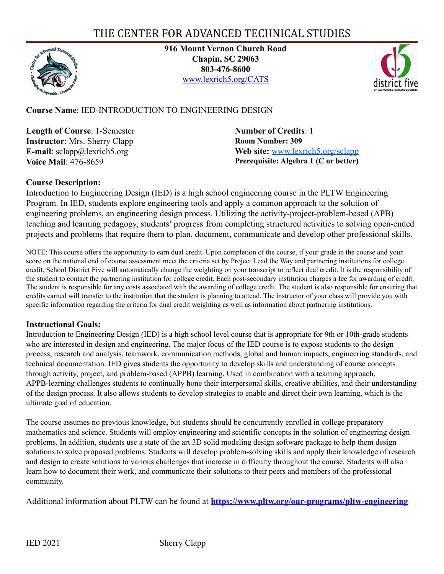# THE CENTER FOR ADVANCED TECHNICAL STUDIES



**916 Mount Vernon Church Road Chapin, SC 29063 803-476-8600** [www.lexrich5.org/CATS](http://www.lexrich5.org/CATS)



## **Course Name**: IED-INTRODUCTION TO ENGINEERING DESIGN

**Length of Course**: 1-Semester **Instructor**: Mrs. Sherry Clapp **E-mail**: sclapp@lexrich5.org **Voice Mail**: 476-8659

**Number of Credits**: 1 **Room Number: 309 Web site:** [www.lexrich5.org/sclapp](https://www.lexrich5.org/sclapp) **Prerequisite: Algebra 1 (C or better)**

#### **Course Description:**

Introduction to Engineering Design (IED) is a high school engineering course in the PLTW Engineering Program. In IED, students explore engineering tools and apply a common approach to the solution of engineering problems, an engineering design process. Utilizing the activity-project-problem-based (APB) teaching and learning pedagogy, students' progress from completing structured activities to solving open-ended projects and problems that require them to plan, document, communicate and develop other professional skills.

NOTE: This course offers the opportunity to earn dual credit. Upon completion of the course, if your grade in the course and your score on the national end of course assessment meet the criteria set by Project Lead the Way and partnering institutions for college credit, School District Five will automatically change the weighting on your transcript to reflect dual credit. It is the responsibility of the student to contact the partnering institution for college credit. Each post-secondary institution charges a fee for awarding of credit. The student is responsible for any costs associated with the awarding of college credit. The student is also responsible for ensuring that credits earned will transfer to the institution that the student is planning to attend. The instructor of your class will provide you with specific information regarding the criteria for dual credit weighting as well as information about partnering institutions.

#### **Instructional Goals:**

Introduction to Engineering Design (IED) is a high school level course that is appropriate for 9th or 10th-grade students who are interested in design and engineering. The major focus of the IED course is to expose students to the design process, research and analysis, teamwork, communication methods, global and human impacts, engineering standards, and technical documentation. IED gives students the opportunity to develop skills and understanding of course concepts through activity, project, and problem-based (APPB) learning. Used in combination with a teaming approach, APPB-learning challenges students to continually hone their interpersonal skills, creative abilities, and their understanding of the design process. It also allows students to develop strategies to enable and direct their own learning, which is the ultimate goal of education.

The course assumes no previous knowledge, but students should be concurrently enrolled in college preparatory mathematics and science. Students will employ engineering and scientific concepts in the solution of engineering design problems. In addition, students use a state of the art 3D solid modeling design software package to help them design solutions to solve proposed problems. Students will develop problem-solving skills and apply their knowledge of research and design to create solutions to various challenges that increase in difficulty throughout the course. Students will also learn how to document their work, and communicate their solutions to their peers and members of the professional community.

Additional information about PLTW can be found at **<https://www.pltw.org/our-programs/pltw-engineering>**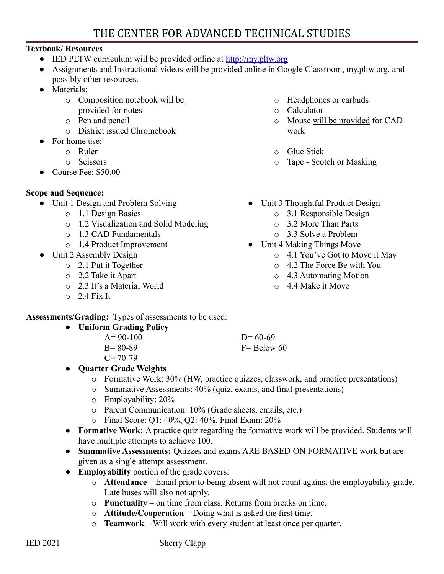# THE CENTER FOR ADVANCED TECHNICAL STUDIES

### **Textbook/ Resources**

- $\bullet$  IED PLTW curriculum will be provided online at <http://my.pltw.org>
- Assignments and Instructional videos will be provided online in Google Classroom, my.pltw.org, and possibly other resources.
- Materials:
	- o Composition notebook will be provided for notes
	- o Pen and pencil
	- o District issued Chromebook
	- For home use:
		- o Ruler
		- o Scissors
- Course Fee: \$50.00

## **Scope and Sequence:**

- Unit 1 Design and Problem Solving
	- o 1.1 Design Basics
	- o 1.2 Visualization and Solid Modeling
	- o 1.3 CAD Fundamentals
	- o 1.4 Product Improvement
- Unit 2 Assembly Design
	- o 2.1 Put it Together
	- o 2.2 Take it Apart
	- o 2.3 It's a Material World
	- $\degree$  2.4 Fix It
- o Headphones or earbuds
- o Calculator
- o Mouse will be provided for CAD work
- o Glue Stick
- o Tape Scotch or Masking
- Unit 3 Thoughtful Product Design
	- o 3.1 Responsible Design
	- o 3.2 More Than Parts
	- o 3.3 Solve a Problem
- Unit 4 Making Things Move
	- o 4.1 You've Got to Move it May
	- o 4.2 The Force Be with You
	- o 4.3 Automating Motion
	- o 4.4 Make it Move

**Assessments/Grading:** Types of assessments to be used:

- **● Uniform Grading Policy**
	- $A = 90-100$ B= 80-89

 $D= 60-69$ 

- $C= 70-79$ ● **Quarter Grade Weights**
	- o Formative Work: 30% (HW, practice quizzes, classwork, and practice presentations)
	- o Summative Assessments: 40% (quiz, exams, and final presentations)
	- o Employability: 20%
	- o Parent Communication: 10% (Grade sheets, emails, etc.)
	- o Final Score: Q1: 40%, Q2: 40%, Final Exam: 20%
- **Formative Work:** A practice quiz regarding the formative work will be provided. Students will have multiple attempts to achieve 100.
- **Summative Assessments:** Quizzes and exams ARE BASED ON FORMATIVE work but are given as a single attempt assessment.
- **Employability** portion of the grade covers:
	- o **Attendance** Email prior to being absent will not count against the employability grade. Late buses will also not apply.
	- o **Punctuality** on time from class. Returns from breaks on time.
	- o **Attitude/Cooperation** Doing what is asked the first time.
	- o **Teamwork** Will work with every student at least once per quarter.

 $F =$  Below 60